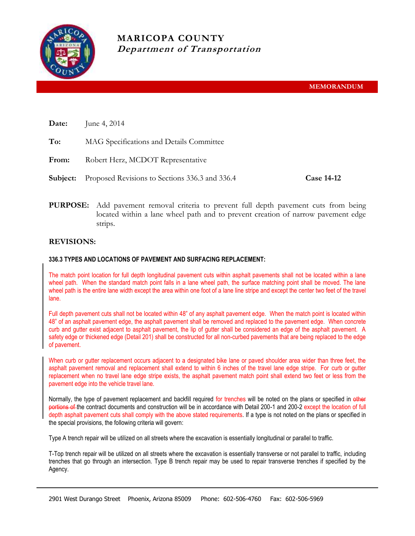

| Date:    | June 4, 2014                                   |                   |
|----------|------------------------------------------------|-------------------|
| To:      | MAG Specifications and Details Committee       |                   |
| From:    | Robert Herz, MCDOT Representative              |                   |
| Subject: | Proposed Revisions to Sections 336.3 and 336.4 | <b>Case 14-12</b> |
|          |                                                |                   |

**PURPOSE:** Add pavement removal criteria to prevent full depth pavement cuts from being located within a lane wheel path and to prevent creation of narrow pavement edge strips.

## **REVISIONS:**

## **336.3 TYPES AND LOCATIONS OF PAVEMENT AND SURFACING REPLACEMENT:**

The match point location for full depth longitudinal pavement cuts within asphalt pavements shall not be located within a lane wheel path. When the standard match point falls in a lane wheel path, the surface matching point shall be moved. The lane wheel path is the entire lane width except the area within one foot of a lane line stripe and except the center two feet of the travel lane.

Full depth pavement cuts shall not be located within 48" of any asphalt pavement edge. When the match point is located within 48" of an asphalt pavement edge, the asphalt pavement shall be removed and replaced to the pavement edge. When concrete curb and gutter exist adjacent to asphalt pavement, the lip of gutter shall be considered an edge of the asphalt pavement. A safety edge or thickened edge (Detail 201) shall be constructed for all non-curbed pavements that are being replaced to the edge of pavement.

When curb or gutter replacement occurs adjacent to a designated bike lane or paved shoulder area wider than three feet, the asphalt pavement removal and replacement shall extend to within 6 inches of the travel lane edge stripe. For curb or gutter replacement when no travel lane edge stripe exists, the asphalt pavement match point shall extend two feet or less from the pavement edge into the vehicle travel lane.

Normally, the type of pavement replacement and backfill required for trenches will be noted on the plans or specified in other portions of the contract documents and construction will be in accordance with Detail 200-1 and 200-2 except the location of full depth asphalt pavement cuts shall comply with the above stated requirements. If a type is not noted on the plans or specified in the special provisions, the following criteria will govern:

Type A trench repair will be utilized on all streets where the excavation is essentially longitudinal or parallel to traffic.

T-Top trench repair will be utilized on all streets where the excavation is essentially transverse or not parallel to traffic, including trenches that go through an intersection. Type B trench repair may be used to repair transverse trenches if specified by the Agency.